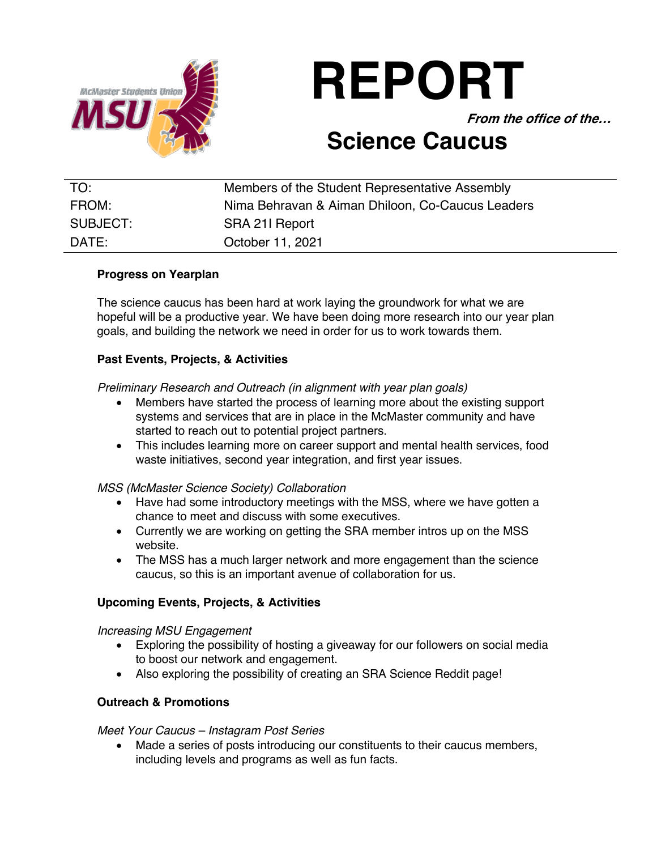

# **REPORT**

**From the office of the…**

# **Science Caucus**

| TO:      | Members of the Student Representative Assembly   |
|----------|--------------------------------------------------|
| FROM:    | Nima Behravan & Aiman Dhiloon, Co-Caucus Leaders |
| SUBJECT: | SRA 211 Report                                   |
| DATE:    | October 11, 2021                                 |

# **Progress on Yearplan**

The science caucus has been hard at work laying the groundwork for what we are hopeful will be a productive year. We have been doing more research into our year plan goals, and building the network we need in order for us to work towards them.

# **Past Events, Projects, & Activities**

*Preliminary Research and Outreach (in alignment with year plan goals)* 

- Members have started the process of learning more about the existing support systems and services that are in place in the McMaster community and have started to reach out to potential project partners.
- This includes learning more on career support and mental health services, food waste initiatives, second year integration, and first year issues.

# *MSS (McMaster Science Society) Collaboration*

- Have had some introductory meetings with the MSS, where we have gotten a chance to meet and discuss with some executives.
- Currently we are working on getting the SRA member intros up on the MSS website.
- The MSS has a much larger network and more engagement than the science caucus, so this is an important avenue of collaboration for us.

# **Upcoming Events, Projects, & Activities**

# *Increasing MSU Engagement*

- Exploring the possibility of hosting a giveaway for our followers on social media to boost our network and engagement.
- Also exploring the possibility of creating an SRA Science Reddit page!

# **Outreach & Promotions**

# *Meet Your Caucus – Instagram Post Series*

• Made a series of posts introducing our constituents to their caucus members, including levels and programs as well as fun facts.